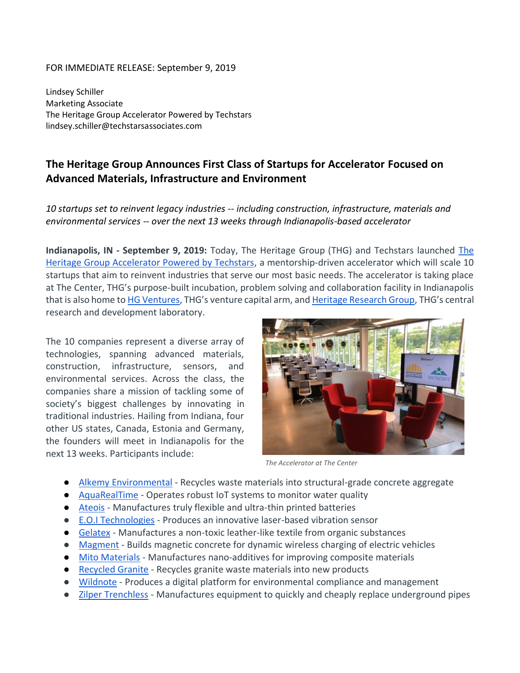#### FOR IMMEDIATE RELEASE: September 9, 2019

Lindsey Schiller Marketing Associate The Heritage Group Accelerator Powered by Techstars lindsey.schiller@techstarsassociates.com

# **The Heritage Group Announces First Class of Startups for Accelerator Focused on Advanced Materials, Infrastructure and Environment**

## *10 startups set to reinvent legacy industries -- including construction, infrastructure, materials and environmental services -- over the next 13 weeks through Indianapolis-based accelerator*

**Indianapolis, IN - September 9, 2019:** Today, The Heritage Group (THG) and Techstars launched [The](https://www.techstars.com/heritage-group-program/)  [Heritage Group Accelerator Powered by Techstars,](https://www.techstars.com/heritage-group-program/) a mentorship-driven accelerator which will scale 10 startups that aim to reinvent industries that serve our most basic needs. The accelerator is taking place at The Center, THG's purpose-built incubation, problem solving and collaboration facility in Indianapolis that is also home t[o HG Ventures](http://www.hgventures.vc/), THG's venture capital arm, and [Heritage Research Group](https://www.thgrp.com/heritage-research-group/), THG's central research and development laboratory.

The 10 companies represent a diverse array of technologies, spanning advanced materials, construction, infrastructure, sensors, and environmental services. Across the class, the companies share a mission of tackling some of society's biggest challenges by innovating in traditional industries. Hailing from Indiana, four other US states, Canada, Estonia and Germany, the founders will meet in Indianapolis for the next 13 weeks. Participants include:



*The Accelerator at The Center* 

- [Alkemy Environmental](https://alkemyenvironmental.com/) Recycles waste materials into structural-grade concrete aggregate
- [AquaRealTime](https://www.algaetracker.com/) Operates robust IoT systems to monitor water quality
- [Ateois](https://www.ateios.com/) Manufactures truly flexible and ultra-thin printed batteries
- [E.O.I Technologies](https://eoi-technologies.com/) Produces an innovative laser-based vibration sensor
- [Gelatex](https://www.gelatex.com/) Manufactures a non-toxic leather-like textile from organic substances
- [Magment](https://www.magment.de/) Builds magnetic concrete for dynamic wireless charging of electric vehicles
- [Mito Materials](https://www.mitomaterials.com/) Manufactures nano-additives for improving composite materials
- [Recycled Granite](https://recycledgranite.com/) Recycles granite waste materials into new products
- [Wildnote](https://wildnoteapp.com/) Produces a digital platform for environmental compliance and management
- [Zilper Trenchless](https://www.zilpertrenchless.com/) Manufactures equipment to quickly and cheaply replace underground pipes